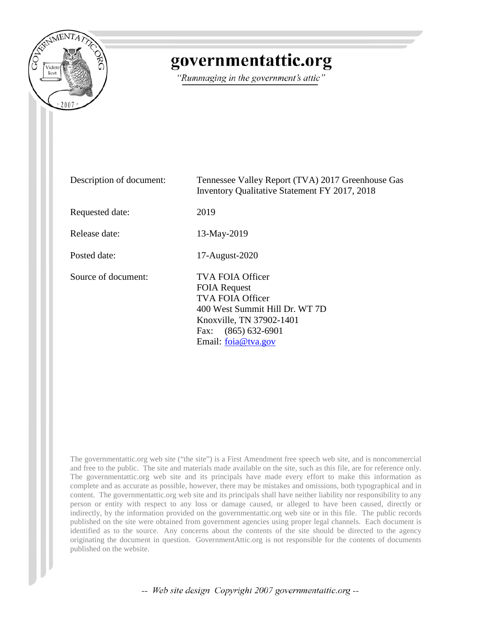

# governmentattic.org

"Rummaging in the government's attic"

| Description of document: | Tennessee Valley Report (TVA) 2017 Greenhouse Gas<br><b>Inventory Qualitative Statement FY 2017, 2018</b>                                                                                  |
|--------------------------|--------------------------------------------------------------------------------------------------------------------------------------------------------------------------------------------|
| Requested date:          | 2019                                                                                                                                                                                       |
| Release date:            | 13-May-2019                                                                                                                                                                                |
| Posted date:             | 17-August-2020                                                                                                                                                                             |
| Source of document:      | <b>TVA FOIA Officer</b><br><b>FOIA Request</b><br><b>TVA FOIA Officer</b><br>400 West Summit Hill Dr. WT 7D<br>Knoxville, TN 37902-1401<br>$(865) 632-6901$<br>Fax:<br>Email: foia@tva.gov |

The governmentattic.org web site ("the site") is a First Amendment free speech web site, and is noncommercial and free to the public. The site and materials made available on the site, such as this file, are for reference only. The governmentattic.org web site and its principals have made every effort to make this information as complete and as accurate as possible, however, there may be mistakes and omissions, both typographical and in content. The governmentattic.org web site and its principals shall have neither liability nor responsibility to any person or entity with respect to any loss or damage caused, or alleged to have been caused, directly or indirectly, by the information provided on the governmentattic.org web site or in this file. The public records published on the site were obtained from government agencies using proper legal channels. Each document is identified as to the source. Any concerns about the contents of the site should be directed to the agency originating the document in question. GovernmentAttic.org is not responsible for the contents of documents published on the website.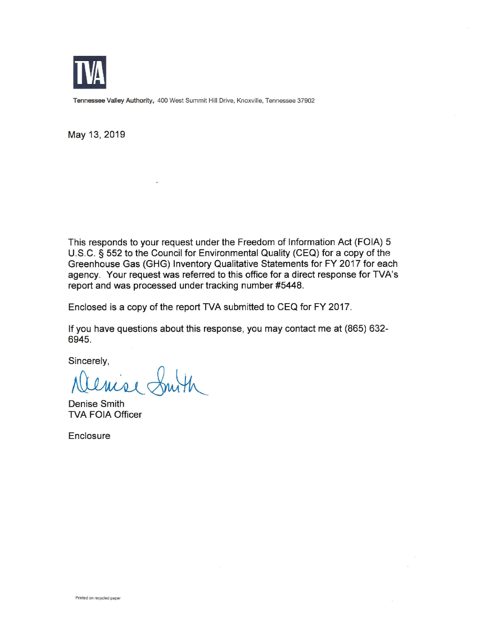

**Tennessee Valley Authority,** 400 West Summit Hill Drive, Knoxville, Tennessee 37902

May 13, 2019

This responds to your request under the Freedom of Information Act (FOIA) 5 U.S.C. § 552 to the Council for Environmental Quality (CEQ) for a copy of the Greenhouse Gas (GHG) Inventory Qualitative Statements for FY 2017 for each agency. Your request was referred to this office for a direct response for TVA's report and was processed under tracking number #5448.

Enclosed is a copy of the report TVA submitted to CEQ for FY 2017.

If you have questions about this response, you may contact me at (865) 632- 6945.

Sincerely,

Denise Smith TVA FOIA Officer

**Enclosure**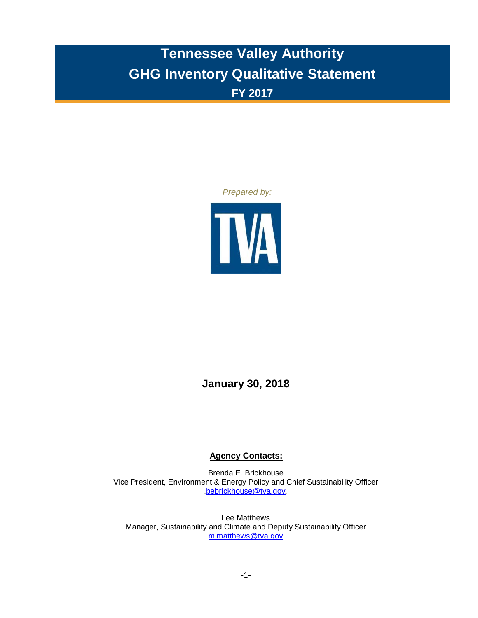## **Tennessee Valley Authority GHG Inventory Qualitative Statement FY 2017**

#### *Prepared by:*



### **January 30, 2018**

#### **Agency Contacts:**

Brenda E. Brickhouse Vice President, Environment & Energy Policy and Chief Sustainability Officer [bebrickhouse@tva.gov](mailto:bebrickhouse@tva.gov)

Lee Matthews Manager, Sustainability and Climate and Deputy Sustainability Officer [mlmatthews@tva.gov](mailto:jwmyers@tva.gov)